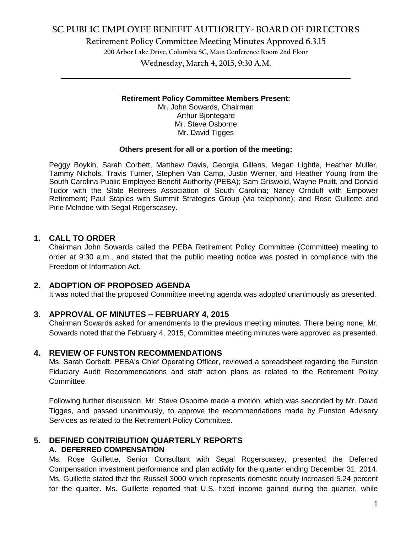## **SC PUBLIC EMPLOYEE BENEFIT AUTHORITY- BOARD OF DIRECTORS**

**Retirement Policy Committee Meeting Minutes Approved 6.3.15**

**200 Arbor Lake Drive, Columbia SC, Main Conference Room 2nd Floor**

**Wednesday, March 4, 2015, 9:30 A.M. \_\_\_\_\_\_\_\_\_\_\_\_\_\_\_\_\_\_\_\_\_\_\_\_\_\_\_\_\_\_\_\_\_\_\_\_\_\_\_\_\_\_\_\_\_\_\_\_\_\_\_\_\_\_\_\_\_\_\_\_\_\_\_\_\_\_\_\_\_\_\_\_**

#### **Retirement Policy Committee Members Present:**

Mr. John Sowards, Chairman Arthur Bjontegard Mr. Steve Osborne Mr. David Tigges

#### **Others present for all or a portion of the meeting:**

Peggy Boykin, Sarah Corbett, Matthew Davis, Georgia Gillens, Megan Lightle, Heather Muller, Tammy Nichols, Travis Turner, Stephen Van Camp, Justin Werner, and Heather Young from the South Carolina Public Employee Benefit Authority (PEBA); Sam Griswold, Wayne Pruitt, and Donald Tudor with the State Retirees Association of South Carolina; Nancy Ornduff with Empower Retirement; Paul Staples with Summit Strategies Group (via telephone); and Rose Guillette and Pirie Mclndoe with Segal Rogerscasey.

### **1. CALL TO ORDER**

Chairman John Sowards called the PEBA Retirement Policy Committee (Committee) meeting to order at 9:30 a.m., and stated that the public meeting notice was posted in compliance with the Freedom of Information Act.

### **2. ADOPTION OF PROPOSED AGENDA**

It was noted that the proposed Committee meeting agenda was adopted unanimously as presented.

### **3. APPROVAL OF MINUTES – FEBRUARY 4, 2015**

Chairman Sowards asked for amendments to the previous meeting minutes. There being none, Mr. Sowards noted that the February 4, 2015, Committee meeting minutes were approved as presented.

#### **4. REVIEW OF FUNSTON RECOMMENDATIONS**

Ms. Sarah Corbett, PEBA's Chief Operating Officer, reviewed a spreadsheet regarding the Funston Fiduciary Audit Recommendations and staff action plans as related to the Retirement Policy Committee.

Following further discussion, Mr. Steve Osborne made a motion, which was seconded by Mr. David Tigges, and passed unanimously, to approve the recommendations made by Funston Advisory Services as related to the Retirement Policy Committee.

### **5. DEFINED CONTRIBUTION QUARTERLY REPORTS A. DEFERRED COMPENSATION**

Ms. Rose Guillette, Senior Consultant with Segal Rogerscasey, presented the Deferred Compensation investment performance and plan activity for the quarter ending December 31, 2014. Ms. Guillette stated that the Russell 3000 which represents domestic equity increased 5.24 percent for the quarter. Ms. Guillette reported that U.S. fixed income gained during the quarter, while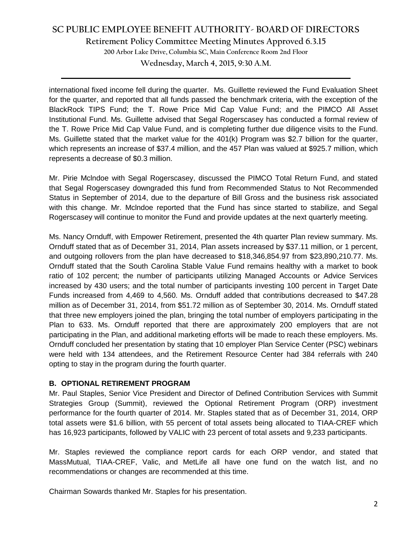# **SC PUBLIC EMPLOYEE BENEFIT AUTHORITY- BOARD OF DIRECTORS**

**Retirement Policy Committee Meeting Minutes Approved 6.3.15**

**200 Arbor Lake Drive, Columbia SC, Main Conference Room 2nd Floor**

**Wednesday, March 4, 2015, 9:30 A.M. \_\_\_\_\_\_\_\_\_\_\_\_\_\_\_\_\_\_\_\_\_\_\_\_\_\_\_\_\_\_\_\_\_\_\_\_\_\_\_\_\_\_\_\_\_\_\_\_\_\_\_\_\_\_\_\_\_\_\_\_\_\_\_\_\_\_\_\_\_\_\_\_**

international fixed income fell during the quarter. Ms. Guillette reviewed the Fund Evaluation Sheet for the quarter, and reported that all funds passed the benchmark criteria, with the exception of the BlackRock TIPS Fund; the T. Rowe Price Mid Cap Value Fund; and the PIMCO All Asset Institutional Fund. Ms. Guillette advised that Segal Rogerscasey has conducted a formal review of the T. Rowe Price Mid Cap Value Fund, and is completing further due diligence visits to the Fund. Ms. Guillette stated that the market value for the 401(k) Program was \$2.7 billion for the quarter, which represents an increase of \$37.4 million, and the 457 Plan was valued at \$925.7 million, which represents a decrease of \$0.3 million.

Mr. Pirie Mclndoe with Segal Rogerscasey, discussed the PIMCO Total Return Fund, and stated that Segal Rogerscasey downgraded this fund from Recommended Status to Not Recommended Status in September of 2014, due to the departure of Bill Gross and the business risk associated with this change. Mr. Mclndoe reported that the Fund has since started to stabilize, and Segal Rogerscasey will continue to monitor the Fund and provide updates at the next quarterly meeting.

Ms. Nancy Ornduff, with Empower Retirement, presented the 4th quarter Plan review summary. Ms. Ornduff stated that as of December 31, 2014, Plan assets increased by \$37.11 million, or 1 percent, and outgoing rollovers from the plan have decreased to \$18,346,854.97 from \$23,890,210.77. Ms. Ornduff stated that the South Carolina Stable Value Fund remains healthy with a market to book ratio of 102 percent; the number of participants utilizing Managed Accounts or Advice Services increased by 430 users; and the total number of participants investing 100 percent in Target Date Funds increased from 4,469 to 4,560. Ms. Ornduff added that contributions decreased to \$47.28 million as of December 31, 2014, from \$51.72 million as of September 30, 2014. Ms. Ornduff stated that three new employers joined the plan, bringing the total number of employers participating in the Plan to 633. Ms. Ornduff reported that there are approximately 200 employers that are not participating in the Plan, and additional marketing efforts will be made to reach these employers. Ms. Ornduff concluded her presentation by stating that 10 employer Plan Service Center (PSC) webinars were held with 134 attendees, and the Retirement Resource Center had 384 referrals with 240 opting to stay in the program during the fourth quarter.

### **B. OPTIONAL RETIREMENT PROGRAM**

Mr. Paul Staples, Senior Vice President and Director of Defined Contribution Services with Summit Strategies Group (Summit), reviewed the Optional Retirement Program (ORP) investment performance for the fourth quarter of 2014. Mr. Staples stated that as of December 31, 2014, ORP total assets were \$1.6 billion, with 55 percent of total assets being allocated to TIAA-CREF which has 16,923 participants, followed by VALIC with 23 percent of total assets and 9,233 participants.

Mr. Staples reviewed the compliance report cards for each ORP vendor, and stated that MassMutual, TIAA-CREF, Valic, and MetLife all have one fund on the watch list, and no recommendations or changes are recommended at this time.

Chairman Sowards thanked Mr. Staples for his presentation.